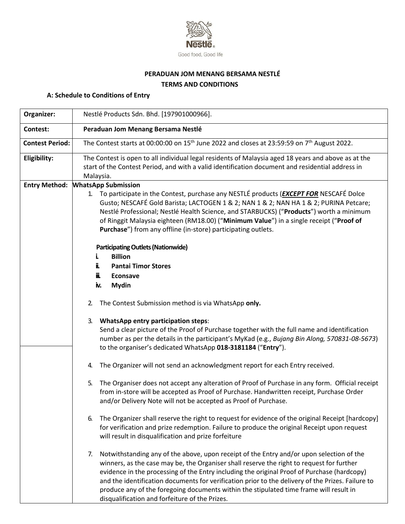

# **PERADUAN JOM MENANG BERSAMA NESTLÉ TERMS AND CONDITIONS**

# **A: Schedule to Conditions of Entry**

| Organizer:             | Nestlé Products Sdn. Bhd. [197901000966].                                                                                                                                                                                                                                                                                                                                                                                                                                                                                                   |  |  |  |
|------------------------|---------------------------------------------------------------------------------------------------------------------------------------------------------------------------------------------------------------------------------------------------------------------------------------------------------------------------------------------------------------------------------------------------------------------------------------------------------------------------------------------------------------------------------------------|--|--|--|
| <b>Contest:</b>        | Peraduan Jom Menang Bersama Nestlé                                                                                                                                                                                                                                                                                                                                                                                                                                                                                                          |  |  |  |
| <b>Contest Period:</b> | The Contest starts at 00:00:00 on 15 <sup>th</sup> June 2022 and closes at 23:59:59 on 7 <sup>th</sup> August 2022.                                                                                                                                                                                                                                                                                                                                                                                                                         |  |  |  |
| Eligibility:           | The Contest is open to all individual legal residents of Malaysia aged 18 years and above as at the<br>start of the Contest Period, and with a valid identification document and residential address in<br>Malaysia.                                                                                                                                                                                                                                                                                                                        |  |  |  |
| <b>Entry Method:</b>   | <b>WhatsApp Submission</b>                                                                                                                                                                                                                                                                                                                                                                                                                                                                                                                  |  |  |  |
|                        | 1. To participate in the Contest, purchase any NESTLÉ products ( <b>EXCEPT FOR</b> NESCAFÉ Dolce<br>Gusto; NESCAFÉ Gold Barista; LACTOGEN 1 & 2; NAN 1 & 2; NAN HA 1 & 2; PURINA Petcare;<br>Nestlé Professional; Nestlé Health Science, and STARBUCKS) ("Products") worth a minimum<br>of Ringgit Malaysia eighteen (RM18.00) ("Minimum Value") in a single receipt ("Proof of<br>Purchase") from any offline (in-store) participating outlets.                                                                                            |  |  |  |
|                        | <b>Participating Outlets (Nationwide)</b>                                                                                                                                                                                                                                                                                                                                                                                                                                                                                                   |  |  |  |
|                        | <b>Billion</b>                                                                                                                                                                                                                                                                                                                                                                                                                                                                                                                              |  |  |  |
|                        | ii.<br><b>Pantai Timor Stores</b>                                                                                                                                                                                                                                                                                                                                                                                                                                                                                                           |  |  |  |
|                        | iï.<br>Econsave                                                                                                                                                                                                                                                                                                                                                                                                                                                                                                                             |  |  |  |
|                        | <b>Mydin</b><br>iv.                                                                                                                                                                                                                                                                                                                                                                                                                                                                                                                         |  |  |  |
|                        | The Contest Submission method is via WhatsApp only.<br>2.                                                                                                                                                                                                                                                                                                                                                                                                                                                                                   |  |  |  |
|                        | <b>WhatsApp entry participation steps:</b><br>3.<br>Send a clear picture of the Proof of Purchase together with the full name and identification<br>number as per the details in the participant's MyKad (e.g., Bujang Bin Along, 570831-08-5673)<br>to the organiser's dedicated WhatsApp 018-3181184 ("Entry").                                                                                                                                                                                                                           |  |  |  |
|                        | The Organizer will not send an acknowledgment report for each Entry received.<br>4.                                                                                                                                                                                                                                                                                                                                                                                                                                                         |  |  |  |
|                        | The Organiser does not accept any alteration of Proof of Purchase in any form. Official receipt<br>5.<br>from in-store will be accepted as Proof of Purchase. Handwritten receipt, Purchase Order<br>and/or Delivery Note will not be accepted as Proof of Purchase.                                                                                                                                                                                                                                                                        |  |  |  |
|                        | The Organizer shall reserve the right to request for evidence of the original Receipt [hardcopy]<br>6.<br>for verification and prize redemption. Failure to produce the original Receipt upon request<br>will result in disqualification and prize forfeiture                                                                                                                                                                                                                                                                               |  |  |  |
|                        | Notwithstanding any of the above, upon receipt of the Entry and/or upon selection of the<br>7.<br>winners, as the case may be, the Organiser shall reserve the right to request for further<br>evidence in the processing of the Entry including the original Proof of Purchase (hardcopy)<br>and the identification documents for verification prior to the delivery of the Prizes. Failure to<br>produce any of the foregoing documents within the stipulated time frame will result in<br>disqualification and forfeiture of the Prizes. |  |  |  |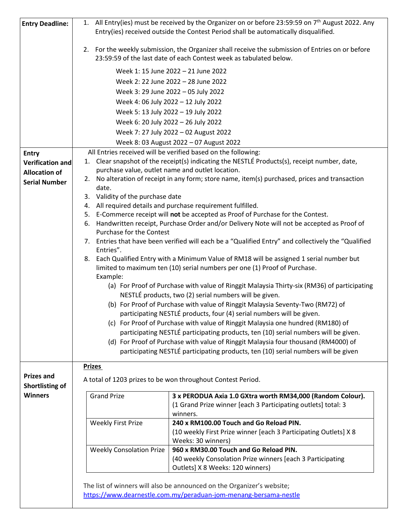| <b>Entry Deadline:</b> | 1. All Entry(ies) must be received by the Organizer on or before 23:59:59 on 7 <sup>th</sup> August 2022. Any                                                          |  |
|------------------------|------------------------------------------------------------------------------------------------------------------------------------------------------------------------|--|
|                        | Entry(ies) received outside the Contest Period shall be automatically disqualified.                                                                                    |  |
|                        | 2. For the weekly submission, the Organizer shall receive the submission of Entries on or before<br>23:59:59 of the last date of each Contest week as tabulated below. |  |
|                        | Week 1: 15 June 2022 - 21 June 2022                                                                                                                                    |  |
|                        | Week 2: 22 June 2022 - 28 June 2022                                                                                                                                    |  |
|                        | Week 3: 29 June 2022 - 05 July 2022                                                                                                                                    |  |
|                        | Week 4: 06 July 2022 - 12 July 2022                                                                                                                                    |  |
|                        | Week 5: 13 July 2022 - 19 July 2022                                                                                                                                    |  |
|                        | Week 6: 20 July 2022 - 26 July 2022                                                                                                                                    |  |
|                        | Week 7: 27 July 2022 - 02 August 2022                                                                                                                                  |  |
|                        | Week 8: 03 August 2022 - 07 August 2022                                                                                                                                |  |
| <b>Entry</b>           | All Entries received will be verified based on the following:                                                                                                          |  |
| Verification and       | 1. Clear snapshot of the receipt(s) indicating the NESTLÉ Products(s), receipt number, date,                                                                           |  |
| <b>Allocation of</b>   | purchase value, outlet name and outlet location.                                                                                                                       |  |
| <b>Serial Number</b>   | 2. No alteration of receipt in any form; store name, item(s) purchased, prices and transaction                                                                         |  |
|                        | date.<br>3. Validity of the purchase date                                                                                                                              |  |
|                        | 4. All required details and purchase requirement fulfilled.                                                                                                            |  |
|                        | 5. E-Commerce receipt will not be accepted as Proof of Purchase for the Contest.                                                                                       |  |
|                        | Handwritten receipt, Purchase Order and/or Delivery Note will not be accepted as Proof of<br>6.                                                                        |  |
|                        | Purchase for the Contest                                                                                                                                               |  |
|                        | Entries that have been verified will each be a "Qualified Entry" and collectively the "Qualified<br>7.<br>Entries".                                                    |  |
|                        | 8. Each Qualified Entry with a Minimum Value of RM18 will be assigned 1 serial number but                                                                              |  |
|                        | limited to maximum ten (10) serial numbers per one (1) Proof of Purchase.                                                                                              |  |
|                        | Example:                                                                                                                                                               |  |
|                        | (a) For Proof of Purchase with value of Ringgit Malaysia Thirty-six (RM36) of participating                                                                            |  |
|                        | NESTLÉ products, two (2) serial numbers will be given.<br>(b) For Proof of Purchase with value of Ringgit Malaysia Seventy-Two (RM72) of                               |  |
|                        | participating NESTLÉ products, four (4) serial numbers will be given.                                                                                                  |  |
|                        | (c) For Proof of Purchase with value of Ringgit Malaysia one hundred (RM180) of                                                                                        |  |
|                        | participating NESTLÉ participating products, ten (10) serial numbers will be given.                                                                                    |  |
|                        | (d) For Proof of Purchase with value of Ringgit Malaysia four thousand (RM4000) of                                                                                     |  |
|                        | participating NESTLÉ participating products, ten (10) serial numbers will be given                                                                                     |  |
|                        | <b>Prizes</b>                                                                                                                                                          |  |
| <b>Prizes and</b>      |                                                                                                                                                                        |  |
| Shortlisting of        | A total of 1203 prizes to be won throughout Contest Period.                                                                                                            |  |
| <b>Winners</b>         | <b>Grand Prize</b><br>3 x PERODUA Axia 1.0 GXtra worth RM34,000 (Random Colour).                                                                                       |  |
|                        | (1 Grand Prize winner [each 3 Participating outlets] total: 3                                                                                                          |  |
|                        | winners.                                                                                                                                                               |  |
|                        | 240 x RM100.00 Touch and Go Reload PIN.<br><b>Weekly First Prize</b>                                                                                                   |  |
|                        | (10 weekly First Prize winner [each 3 Participating Outlets] X 8<br>Weeks: 30 winners)                                                                                 |  |
|                        | 960 x RM30.00 Touch and Go Reload PIN.<br><b>Weekly Consolation Prize</b>                                                                                              |  |
|                        | (40 weekly Consolation Prize winners [each 3 Participating                                                                                                             |  |
|                        | Outlets] X 8 Weeks: 120 winners)                                                                                                                                       |  |
|                        |                                                                                                                                                                        |  |
|                        | The list of winners will also be announced on the Organizer's website;                                                                                                 |  |
|                        | https://www.dearnestle.com.my/peraduan-jom-menang-bersama-nestle                                                                                                       |  |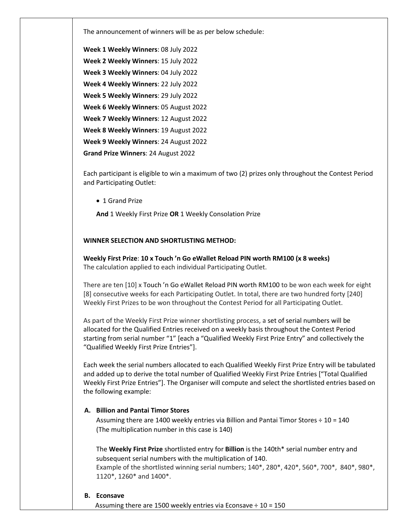The announcement of winners will be as per below schedule:

**Week 1 Weekly Winners**: 08 July 2022 **Week 2 Weekly Winners**: 15 July 2022 **Week 3 Weekly Winners**: 04 July 2022 **Week 4 Weekly Winners**: 22 July 2022 **Week 5 Weekly Winners**: 29 July 2022 **Week 6 Weekly Winners**: 05 August 2022 **Week 7 Weekly Winners**: 12 August 2022 **Week 8 Weekly Winners**: 19 August 2022 **Week 9 Weekly Winners**: 24 August 2022 **Grand Prize Winners**: 24 August 2022

Each participant is eligible to win a maximum of two (2) prizes only throughout the Contest Period and Participating Outlet:

• 1 Grand Prize

**And** 1 Weekly First Prize **OR** 1 Weekly Consolation Prize

#### **WINNER SELECTION AND SHORTLISTING METHOD:**

**Weekly First Prize**: **10 x Touch 'n Go eWallet Reload PIN worth RM100 (x 8 weeks)** The calculation applied to each individual Participating Outlet.

There are ten [10] x Touch 'n Go eWallet Reload PIN worth RM100 to be won each week for eight [8] consecutive weeks for each Participating Outlet. In total, there are two hundred forty [240] Weekly First Prizes to be won throughout the Contest Period for all Participating Outlet.

As part of the Weekly First Prize winner shortlisting process, a set of serial numbers will be allocated for the Qualified Entries received on a weekly basis throughout the Contest Period starting from serial number "1" [each a "Qualified Weekly First Prize Entry" and collectively the "Qualified Weekly First Prize Entries"].

Each week the serial numbers allocated to each Qualified Weekly First Prize Entry will be tabulated and added up to derive the total number of Qualified Weekly First Prize Entries ["Total Qualified Weekly First Prize Entries"]. The Organiser will compute and select the shortlisted entries based on the following example:

#### **A. Billion and Pantai Timor Stores**

Assuming there are 1400 weekly entries via Billion and Pantai Timor Stores ÷ 10 = 140 (The multiplication number in this case is 140)

The **Weekly First Prize** shortlisted entry for **Billion** is the 140th\* serial number entry and subsequent serial numbers with the multiplication of 140. Example of the shortlisted winning serial numbers; 140\*, 280\*, 420\*, 560\*, 700\*, 840\*, 980\*, 1120\*, 1260\* and 1400\*.

#### **B. Econsave**

Assuming there are 1500 weekly entries via Econsave ÷ 10 = 150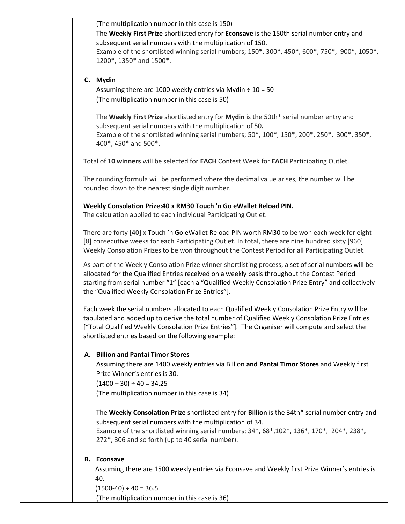(The multiplication number in this case is 150)

The **Weekly First Prize** shortlisted entry for **Econsave** is the 150th serial number entry and subsequent serial numbers with the multiplication of 150. Example of the shortlisted winning serial numbers; 150\*, 300\*, 450\*, 600\*, 750\*, 900\*, 1050\*, 1200\*, 1350\* and 1500\*.

#### **C. Mydin**

Assuming there are 1000 weekly entries via Mydin  $\div$  10 = 50 (The multiplication number in this case is 50)

The **Weekly First Prize** shortlisted entry for **Mydin** is the 50th\* serial number entry and subsequent serial numbers with the multiplication of 50**.** Example of the shortlisted winning serial numbers;  $50^*$ ,  $100^*$ ,  $150^*$ ,  $200^*$ ,  $250^*$ ,  $300^*$ ,  $350^*$ , 400\*, 450\* and 500\*.

Total of **10 winners** will be selected for **EACH** Contest Week for **EACH** Participating Outlet.

The rounding formula will be performed where the decimal value arises, the number will be rounded down to the nearest single digit number.

### **Weekly Consolation Prize:40 x RM30 Touch 'n Go eWallet Reload PIN.**

The calculation applied to each individual Participating Outlet.

There are forty [40] x Touch 'n Go eWallet Reload PIN worth RM30 to be won each week for eight [8] consecutive weeks for each Participating Outlet. In total, there are nine hundred sixty [960] Weekly Consolation Prizes to be won throughout the Contest Period for all Participating Outlet.

As part of the Weekly Consolation Prize winner shortlisting process, a set of serial numbers will be allocated for the Qualified Entries received on a weekly basis throughout the Contest Period starting from serial number "1" [each a "Qualified Weekly Consolation Prize Entry" and collectively the "Qualified Weekly Consolation Prize Entries"].

Each week the serial numbers allocated to each Qualified Weekly Consolation Prize Entry will be tabulated and added up to derive the total number of Qualified Weekly Consolation Prize Entries ["Total Qualified Weekly Consolation Prize Entries"]. The Organiser will compute and select the shortlisted entries based on the following example:

# **A. Billion and Pantai Timor Stores**

Assuming there are 1400 weekly entries via Billion **and Pantai Timor Stores** and Weekly first Prize Winner's entries is 30.

 $(1400 - 30) \div 40 = 34.25$ 

(The multiplication number in this case is 34)

The **Weekly Consolation Prize** shortlisted entry for **Billion** is the 34th\* serial number entry and subsequent serial numbers with the multiplication of 34. Example of the shortlisted winning serial numbers; 34\*, 68\*,102\*, 136\*, 170\*, 204\*, 238\*,

272\*, 306 and so forth (up to 40 serial number).

# **B. Econsave**

Assuming there are 1500 weekly entries via Econsave and Weekly first Prize Winner's entries is 40.

 $(1500-40) \div 40 = 36.5$ 

(The multiplication number in this case is 36)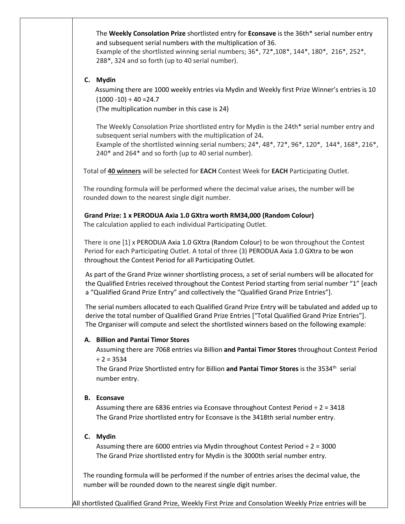The **Weekly Consolation Prize** shortlisted entry for **Econsave** is the 36th\* serial number entry and subsequent serial numbers with the multiplication of 36.

Example of the shortlisted winning serial numbers; 36\*, 72\*,108\*, 144\*, 180\*, 216\*, 252\*, 288\*, 324 and so forth (up to 40 serial number).

#### **C. Mydin**

Assuming there are 1000 weekly entries via Mydin and Weekly first Prize Winner's entries is 10  $(1000 - 10) \div 40 = 24.7$ 

(The multiplication number in this case is 24)

The Weekly Consolation Prize shortlisted entry for Mydin is the 24th\* serial number entry and subsequent serial numbers with the multiplication of 24**.**

Example of the shortlisted winning serial numbers; 24\*, 48\*, 72\*, 96\*, 120\*, 144\*, 168\*, 216\*, 240\* and 264\* and so forth (up to 40 serial number).

Total of **40 winners** will be selected for **EACH** Contest Week for **EACH** Participating Outlet.

The rounding formula will be performed where the decimal value arises, the number will be rounded down to the nearest single digit number.

### **Grand Prize: 1 x PERODUA Axia 1.0 GXtra worth RM34,000 (Random Colour)**

The calculation applied to each individual Participating Outlet.

There is one [1] x PERODUA Axia 1.0 GXtra (Random Colour) to be won throughout the Contest Period for each Participating Outlet. A total of three (3) PERODUA Axia 1.0 GXtra to be won throughout the Contest Period for all Participating Outlet.

As part of the Grand Prize winner shortlisting process, a set of serial numbers will be allocated for the Qualified Entries received throughout the Contest Period starting from serial number "1" [each a "Qualified Grand Prize Entry" and collectively the "Qualified Grand Prize Entries"].

The serial numbers allocated to each Qualified Grand Prize Entry will be tabulated and added up to derive the total number of Qualified Grand Prize Entries ["Total Qualified Grand Prize Entries"]. The Organiser will compute and select the shortlisted winners based on the following example:

# **A. Billion and Pantai Timor Stores**

Assuming there are 7068 entries via Billion **and Pantai Timor Stores** throughout Contest Period  $\div$  2 = 3534

The Grand Prize Shortlisted entry for Billion and Pantai Timor Stores is the 3534<sup>th</sup> serial number entry.

# **B. Econsave**

Assuming there are 6836 entries via Econsave throughout Contest Period  $\div 2 = 3418$ The Grand Prize shortlisted entry for Econsave is the 3418th serial number entry.

# **C. Mydin**

Assuming there are 6000 entries via Mydin throughout Contest Period  $\div$  2 = 3000 The Grand Prize shortlisted entry for Mydin is the 3000th serial number entry.

The rounding formula will be performed if the number of entries arises the decimal value, the number will be rounded down to the nearest single digit number.

All shortlisted Qualified Grand Prize, Weekly First Prize and Consolation Weekly Prize entries will be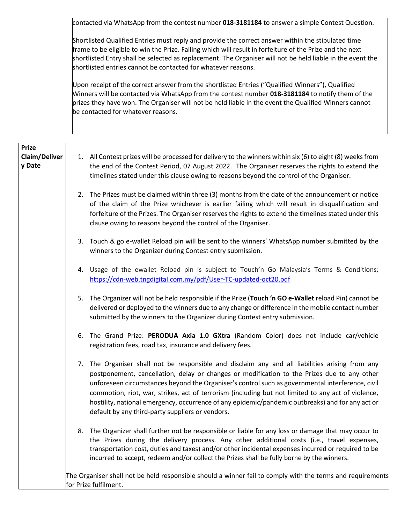| contacted via WhatsApp from the contest number 018-3181184 to answer a simple Contest Question.                                                                                                                                                                                                                                                                                               |
|-----------------------------------------------------------------------------------------------------------------------------------------------------------------------------------------------------------------------------------------------------------------------------------------------------------------------------------------------------------------------------------------------|
| Shortlisted Qualified Entries must reply and provide the correct answer within the stipulated time<br>frame to be eligible to win the Prize. Failing which will result in forfeiture of the Prize and the next<br>shortlisted Entry shall be selected as replacement. The Organiser will not be held liable in the event the<br>shortlisted entries cannot be contacted for whatever reasons. |
| Upon receipt of the correct answer from the shortlisted Entries ("Qualified Winners"), Qualified<br>Winners will be contacted via WhatsApp from the contest number 018-3181184 to notify them of the<br>prizes they have won. The Organiser will not be held liable in the event the Qualified Winners cannot<br>be contacted for whatever reasons.                                           |

| <b>Prize</b><br>Claim/Deliver<br>y Date |    | 1. All Contest prizes will be processed for delivery to the winners within six (6) to eight (8) weeks from<br>the end of the Contest Period, 07 August 2022. The Organiser reserves the rights to extend the<br>timelines stated under this clause owing to reasons beyond the control of the Organiser.                                                                                                                                                                                                                                                      |
|-----------------------------------------|----|---------------------------------------------------------------------------------------------------------------------------------------------------------------------------------------------------------------------------------------------------------------------------------------------------------------------------------------------------------------------------------------------------------------------------------------------------------------------------------------------------------------------------------------------------------------|
|                                         | 2. | The Prizes must be claimed within three (3) months from the date of the announcement or notice<br>of the claim of the Prize whichever is earlier failing which will result in disqualification and<br>forfeiture of the Prizes. The Organiser reserves the rights to extend the timelines stated under this<br>clause owing to reasons beyond the control of the Organiser.                                                                                                                                                                                   |
|                                         | 3. | Touch & go e-wallet Reload pin will be sent to the winners' WhatsApp number submitted by the<br>winners to the Organizer during Contest entry submission.                                                                                                                                                                                                                                                                                                                                                                                                     |
|                                         | 4. | Usage of the ewallet Reload pin is subject to Touch'n Go Malaysia's Terms & Conditions;<br>https://cdn-web.tngdigital.com.my/pdf/User-TC-updated-oct20.pdf                                                                                                                                                                                                                                                                                                                                                                                                    |
|                                         | 5. | The Organizer will not be held responsible if the Prize (Touch 'n GO e-Wallet reload Pin) cannot be<br>delivered or deployed to the winners due to any change or difference in the mobile contact number<br>submitted by the winners to the Organizer during Contest entry submission.                                                                                                                                                                                                                                                                        |
|                                         | 6. | The Grand Prize: PERODUA Axia 1.0 GXtra (Random Color) does not include car/vehicle<br>registration fees, road tax, insurance and delivery fees.                                                                                                                                                                                                                                                                                                                                                                                                              |
|                                         | 7. | The Organiser shall not be responsible and disclaim any and all liabilities arising from any<br>postponement, cancellation, delay or changes or modification to the Prizes due to any other<br>unforeseen circumstances beyond the Organiser's control such as governmental interference, civil<br>commotion, riot, war, strikes, act of terrorism (including but not limited to any act of violence,<br>hostility, national emergency, occurrence of any epidemic/pandemic outbreaks) and for any act or<br>default by any third-party suppliers or vendors. |
|                                         | 8. | The Organizer shall further not be responsible or liable for any loss or damage that may occur to<br>the Prizes during the delivery process. Any other additional costs (i.e., travel expenses,<br>transportation cost, duties and taxes) and/or other incidental expenses incurred or required to be<br>incurred to accept, redeem and/or collect the Prizes shall be fully borne by the winners.                                                                                                                                                            |
|                                         |    | The Organiser shall not be held responsible should a winner fail to comply with the terms and requirements<br>for Prize fulfilment.                                                                                                                                                                                                                                                                                                                                                                                                                           |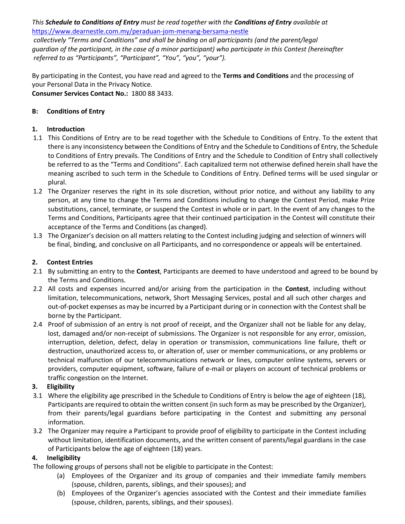*This Schedule to Conditions of Entry must be read together with the Conditions of Entry available at* <https://www.dearnestle.com.my/peraduan-jom-menang-bersama-nestle>

*collectively "Terms and Conditions" and shall be binding on all participants (and the parent/legal guardian of the participant, in the case of a minor participant) who participate in this Contest (hereinafter referred to as "Participants", "Participant", "You", "you", "your").* 

By participating in the Contest, you have read and agreed to the **Terms and Conditions** and the processing of your Personal Data in the Privacy Notice. **Consumer Services Contact No.:** 1800 88 3433.

### **B: Conditions of Entry**

### **1. Introduction**

- 1.1 This Conditions of Entry are to be read together with the Schedule to Conditions of Entry. To the extent that there is any inconsistency between the Conditions of Entry and the Schedule to Conditions of Entry, the Schedule to Conditions of Entry prevails. The Conditions of Entry and the Schedule to Condition of Entry shall collectively be referred to as the "Terms and Conditions". Each capitalized term not otherwise defined herein shall have the meaning ascribed to such term in the Schedule to Conditions of Entry. Defined terms will be used singular or plural.
- 1.2 The Organizer reserves the right in its sole discretion, without prior notice, and without any liability to any person, at any time to change the Terms and Conditions including to change the Contest Period, make Prize substitutions, cancel, terminate, or suspend the Contest in whole or in part. In the event of any changes to the Terms and Conditions, Participants agree that their continued participation in the Contest will constitute their acceptance of the Terms and Conditions (as changed).
- 1.3 The Organizer's decision on all matters relating to the Contest including judging and selection of winners will be final, binding, and conclusive on all Participants, and no correspondence or appeals will be entertained.

#### **2. Contest Entries**

- 2.1 By submitting an entry to the **Contest**, Participants are deemed to have understood and agreed to be bound by the Terms and Conditions.
- 2.2 All costs and expenses incurred and/or arising from the participation in the **Contest**, including without limitation, telecommunications, network, Short Messaging Services, postal and all such other charges and out-of-pocket expenses as may be incurred by a Participant during or in connection with the Contest shall be borne by the Participant.
- 2.4 Proof of submission of an entry is not proof of receipt, and the Organizer shall not be liable for any delay, lost, damaged and/or non-receipt of submissions. The Organizer is not responsible for any error, omission, interruption, deletion, defect, delay in operation or transmission, communications line failure, theft or destruction, unauthorized access to, or alteration of, user or member communications, or any problems or technical malfunction of our telecommunications network or lines, computer online systems, servers or providers, computer equipment, software, failure of e-mail or players on account of technical problems or traffic congestion on the Internet.

# **3. Eligibility**

- 3.1 Where the eligibility age prescribed in the Schedule to Conditions of Entry is below the age of eighteen (18), Participants are required to obtain the written consent (in such form as may be prescribed by the Organizer), from their parents/legal guardians before participating in the Contest and submitting any personal information.
- 3.2 The Organizer may require a Participant to provide proof of eligibility to participate in the Contest including without limitation, identification documents, and the written consent of parents/legal guardians in the case of Participants below the age of eighteen (18) years.

# **4. Ineligibility**

- The following groups of persons shall not be eligible to participate in the Contest:
	- (a) Employees of the Organizer and its group of companies and their immediate family members (spouse, children, parents, siblings, and their spouses); and
	- (b) Employees of the Organizer's agencies associated with the Contest and their immediate families (spouse, children, parents, siblings, and their spouses).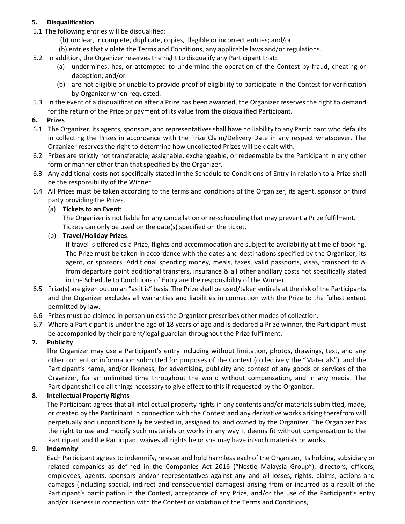# **5. Disqualification**

- 5.1 The following entries will be disqualified:
	- (b) unclear, incomplete, duplicate, copies, illegible or incorrect entries; and/or
	- (b) entries that violate the Terms and Conditions, any applicable laws and/or regulations.
- 5.2 In addition, the Organizer reserves the right to disqualify any Participant that:
	- (a) undermines, has, or attempted to undermine the operation of the Contest by fraud, cheating or deception; and/or
	- (b) are not eligible or unable to provide proof of eligibility to participate in the Contest for verification by Organizer when requested.
- 5.3 In the event of a disqualification after a Prize has been awarded, the Organizer reserves the right to demand for the return of the Prize or payment of its value from the disqualified Participant.

# **6. Prizes**

- 6.1 The Organizer, its agents, sponsors, and representatives shall have no liability to any Participant who defaults in collecting the Prizes in accordance with the Prize Claim/Delivery Date in any respect whatsoever. The Organizer reserves the right to determine how uncollected Prizes will be dealt with.
- 6.2 Prizes are strictly not transferable, assignable, exchangeable, or redeemable by the Participant in any other form or manner other than that specified by the Organizer.
- 6.3 Any additional costs not specifically stated in the Schedule to Conditions of Entry in relation to a Prize shall be the responsibility of the Winner.
- 6.4 All Prizes must be taken according to the terms and conditions of the Organizer, its agent. sponsor or third party providing the Prizes.

# (a) **Tickets to an Event**:

The Organizer is not liable for any cancellation or re-scheduling that may prevent a Prize fulfilment. Tickets can only be used on the date(s) specified on the ticket.

# (b) **Travel/Holiday Prizes**:

If travel is offered as a Prize, flights and accommodation are subject to availability at time of booking. The Prize must be taken in accordance with the dates and destinations specified by the Organizer, its agent, or sponsors. Additional spending money, meals, taxes, valid passports, visas, transport to & from departure point additional transfers, insurance & all other ancillary costs not specifically stated in the Schedule to Conditions of Entry are the responsibility of the Winner.

- 6.5 Prize(s) are given out on an "as it is" basis. The Prize shall be used/taken entirely at the risk of the Participants and the Organizer excludes all warranties and liabilities in connection with the Prize to the fullest extent permitted by law.
- 6.6 Prizes must be claimed in person unless the Organizer prescribes other modes of collection.
- 6.7 Where a Participant is under the age of 18 years of age and is declared a Prize winner, the Participant must be accompanied by their parent/legal guardian throughout the Prize fulfilment.

# **7. Publicity**

 The Organizer may use a Participant's entry including without limitation, photos, drawings, text, and any other content or information submitted for purposes of the Contest (collectively the "Materials"), and the Participant's name, and/or likeness, for advertising, publicity and contest of any goods or services of the Organizer, for an unlimited time throughout the world without compensation, and in any media. The Participant shall do all things necessary to give effect to this if requested by the Organizer.

# **8. Intellectual Property Rights**

The Participant agrees that all intellectual property rights in any contents and/or materials submitted, made, or created by the Participant in connection with the Contest and any derivative works arising therefrom will perpetually and unconditionally be vested in, assigned to, and owned by the Organizer. The Organizer has the right to use and modify such materials or works in any way it deems fit without compensation to the Participant and the Participant waives all rights he or she may have in such materials or works.

# **9. Indemnity**

Each Participant agrees to indemnify, release and hold harmless each of the Organizer, its holding, subsidiary or related companies as defined in the Companies Act 2016 ("Nestlé Malaysia Group"), directors, officers, employees, agents, sponsors and/or representatives against any and all losses, rights, claims, actions and damages (including special, indirect and consequential damages) arising from or incurred as a result of the Participant's participation in the Contest, acceptance of any Prize, and/or the use of the Participant's entry and/or likeness in connection with the Contest or violation of the Terms and Conditions,